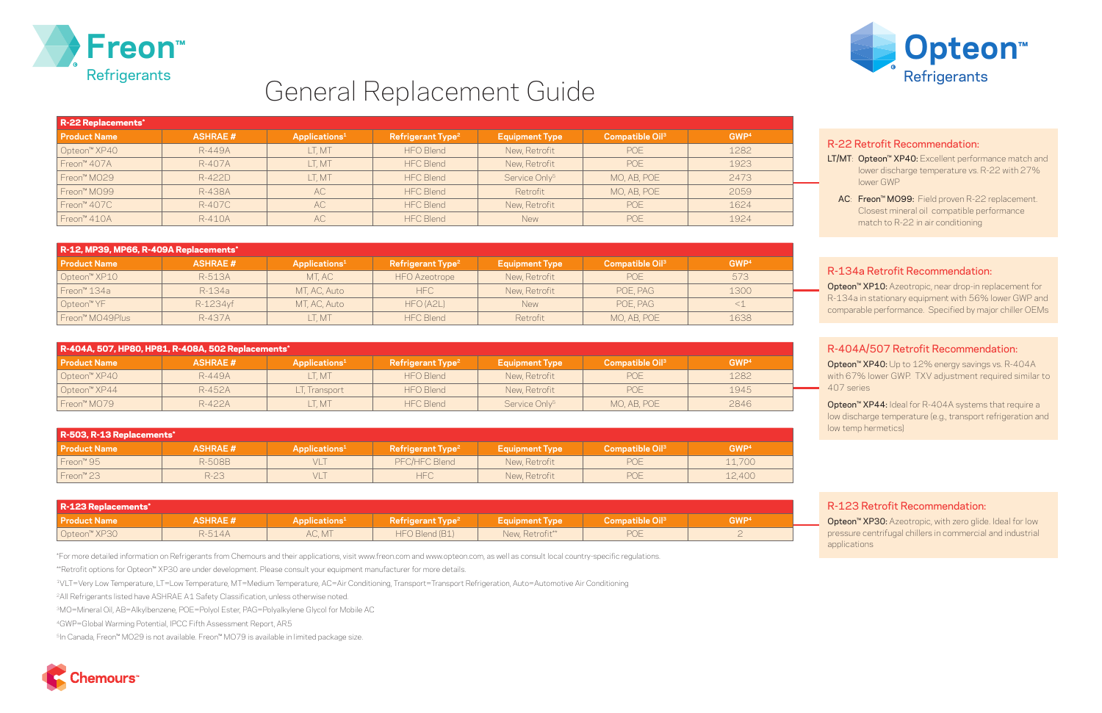



# General Replacement Guide

| R-22 Replacements*       |                |                           |                               |                           |                             |                  |  |  |
|--------------------------|----------------|---------------------------|-------------------------------|---------------------------|-----------------------------|------------------|--|--|
| <b>Product Name</b>      | <b>ASHRAE#</b> | Applications <sup>1</sup> | Refrigerant Type <sup>2</sup> | <b>Equipment Type</b>     | Compatible Oil <sup>3</sup> | GWP <sup>4</sup> |  |  |
| Opteon <sup>™</sup> XP40 | R-449A         | LT, MT                    | <b>HFO Blend</b>              | New, Retrofit             | POE                         | 1282             |  |  |
| Freon™ 407A              | R-407A         | _T, MT                    | <b>HFC Blend</b>              | New, Retrofit             | POE                         | 1923             |  |  |
| Freon <sup>™</sup> MO29  | R-422D         | LT, MT                    | <b>HFC Blend</b>              | Service Only <sup>5</sup> | MO, AB, POE                 | 2473             |  |  |
| Freon <sup>™</sup> MO99  | R-438A         | AC                        | <b>HFC Blend</b>              | Retrofit                  | MO, AB, POE                 | 2059             |  |  |
| Freon <sup>™</sup> 407C  | R-407C         | <b>AC</b>                 | <b>HFC Blend</b>              | New, Retrofit             | POE                         | 1624             |  |  |
| Freon <sup>™</sup> 410A  | R-410A         | AC                        | <b>HFC Blend</b>              | <b>New</b>                | POE                         | 1924             |  |  |

| R-12, MP39, MP66, R-409A Replacements* |                |                           |                               |                       |                             |                  |  |  |
|----------------------------------------|----------------|---------------------------|-------------------------------|-----------------------|-----------------------------|------------------|--|--|
| <b>Product Name</b>                    | <b>ASHRAE#</b> | Applications <sup>1</sup> | Refrigerant Type <sup>2</sup> | <b>Equipment Type</b> | Compatible Oil <sup>3</sup> | GWP <sup>4</sup> |  |  |
| Opteon <sup>™</sup> XP10               | R-513A         | MT, AC                    | <b>HFO</b> Azeotrope          | New, Retrofit         | POE                         | 573              |  |  |
| Freon™ 134a                            | R-134a         | MT, AC, Auto              | HFC.                          | New, Retrofit         | POE, PAG                    | 1300             |  |  |
| Opteon <sup>™</sup> YF                 | R-1234yf       | MT, AC, Auto              | HFO (A2L)                     | <b>New</b>            | POE, PAG                    |                  |  |  |
| Freon™ MO49Plus                        | R-437A         | LT, MT                    | <b>HFC Blend</b>              | Retrofit              | MO, AB, POE                 | 1638             |  |  |

| R-404A, 507, HP80, HP81, R-408A, 502 Replacements* |                |                           |                               |                           |                                   |                  |  |  |
|----------------------------------------------------|----------------|---------------------------|-------------------------------|---------------------------|-----------------------------------|------------------|--|--|
| l Product Name                                     | <b>ASHRAE#</b> | Applications <sup>1</sup> | Refrigerant Type <sup>2</sup> | <b>Equipment Type</b>     | <b>Compatible Oil<sup>3</sup></b> | GWP <sup>4</sup> |  |  |
| Opteon <sup>™</sup> XP40                           | R-449A         | LT. MT                    | HFO Blend                     | New, Retrofit             | <b>POE</b>                        | 1282             |  |  |
| Opteon <sup>™</sup> XP44                           | R-452A         | LT, Transport             | <b>HFO</b> Blend              | New, Retrofit             | <b>POE</b>                        | 1945             |  |  |
| Freon™ MO79                                        | R-422A         | LT. MT                    | <b>HFC Blend</b>              | Service Only <sup>5</sup> | MO, AB, POE                       | 2846             |  |  |

- LT/MT: Opteon<sup>™</sup> XP40: Excellent performance match and lower discharge temperature vs. R-22 with 27% lower GWP
- AC: Freon™ MO99: Field proven R-22 replacement. Closest mineral oil compatible performance match to R-22 in air conditioning

| R-503, R-13 Replacements* |                |                           |                               |                       |                             |                  |  |
|---------------------------|----------------|---------------------------|-------------------------------|-----------------------|-----------------------------|------------------|--|
| <b>Product Name</b>       | <b>ASHRAE#</b> | Applications <sup>1</sup> | Refrigerant Type <sup>2</sup> | <b>Equipment Type</b> | Compatible Oil <sup>3</sup> | GWP <sup>4</sup> |  |
| Freon <sup>™</sup> 95     | R-508B         | VLT                       | PFC/HFC Blend                 | New, Retrofit         | POE                         | 11,700           |  |
| Freon <sup>™</sup> 23     | $R-23$         | VLT                       | HFC                           | New, Retrofit         | POE                         | 12,400           |  |

Opteon™ XP40: Up to 12% energy savings vs. R-404A with 67% lower GWP. TXV adjustment required similar to 407 series

| R-123 Replacements*      |                |                           |                               |                       |                                            |                  |  |
|--------------------------|----------------|---------------------------|-------------------------------|-----------------------|--------------------------------------------|------------------|--|
| <b>Product Name</b>      | <b>ASHRAE#</b> | Applications <sup>1</sup> | Refrigerant Type <sup>2</sup> | <b>Equipment Type</b> | $\blacksquare$ Compatible Oil $\smash{^3}$ | GWP <sup>4</sup> |  |
| Opteon <sup>™</sup> XP30 | R-514A         | AC, MT                    | HFO Blend (B1)                | New, Retrofit**       | POE                                        |                  |  |

Opteon<sup>™</sup> XP44: Ideal for R-404A systems that require a low discharge temperature (e.g., transport refrigeration and low temp hermetics)

Opteon<sup>™</sup> XP30: Azeotropic, with zero glide. Ideal for low pressure centrifugal chillers in commercial and industrial applications

\*For more detailed information on Refrigerants from Chemours and their applications, visit www.freon.com and www.opteon.com, as well as consult local country-specific regulations.

\*\*Retrofit options for Opteon™ XP30 are under development. Please consult your equipment manufacturer for more details.

1VLT=Very Low Temperature, LT=Low Temperature, MT=Medium Temperature, AC=Air Conditioning, Transport=Transport Refrigeration, Auto=Automotive Air Conditioning

2All Refrigerants listed have ASHRAE A1 Safety Classification, unless otherwise noted.

3MO=Mineral Oil, AB=Alkylbenzene, POE=Polyol Ester, PAG=Polyalkylene Glycol for Mobile AC

4GWP=Global Warming Potential, IPCC Fifth Assessment Report, AR5

5In Canada, Freon™ MO29 is not available. Freon™ MO79 is available in limited package size.



### R-22 Retrofit Recommendation:

#### R-134a Retrofit Recommendation:

Opteon™ XP10: Azeotropic, near drop-in replacement for R-134a in stationary equipment with 56% lower GWP and comparable performance. Specified by major chiller OEMs

## R-404A/507 Retrofit Recommendation:

#### R-123 Retrofit Recommendation: